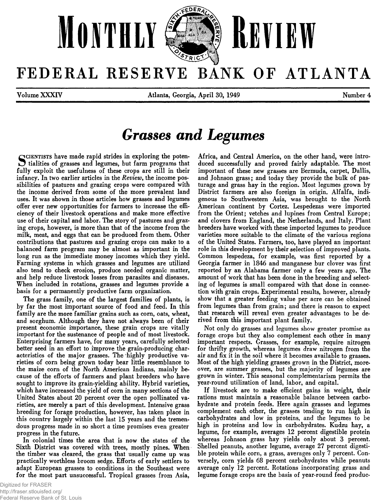

FEDERAL RESERVE BANK OF ATLANTA

**Volume XXXIV Atlanta, Georgia, April 30, 1949 Number 4**

# *Grasses and Legumes*

SCIENTISTS have made rapid strides in exploring the poten-<br> **S** tialities of grasses and legumes, but farm programs that<br>
iully exploit the usefulness of these crops are still in their **tialities of grasses and legumes, but farm programs that fully exploit the usefulness of these crops are still in their infancy. In two earlier articles in the** *Review***, the income possibilities of pastures and grazing crops were compared with the income derived from some of the more prevalent land uses. It was shown in those articles how grasses and legumes offer ever new opportunities for farmers to increase the efficiency of their livestock operations and make more effective use of their capital and labor. The story of pastures and grazing crops, however, is more than that of the income from the milk, meat, and eggs that can be produced from them. Other contributions that pastures and grazing crops can make to a balanced farm program may be almost as important in the long run as the immediate money incomes which they yield. Farming systems in which grasses and legumes are utilized also tend to check erosion, produce needed organic matter, and help reduce livestock losses from parasites and diseases. When included in rotations, grasses and legumes provide a basis for a permanently productive farm organization.**

**The grass family, one of the largest families of plants, is by far the most important source of food and feed. In this family are the more familiar grains such as corn, oats, wheat, and sorghum. Although they have not always been of their present economic importance, these grain crops are vitally important for the sustenance of people and of most livestock. Enterprising farmers have, for many years, carefully selected better seed in an effort to improve the grain-producing characteristics of the major grasses. The highly productive varieties of corn being grown today bear little resemblance to the maize corn of the North American Indians, mainly because of the efforts of farmers and plant breeders who have sought to improve its grain-yielding ability. Hybrid varieties, which have increased the yield of corn in many sections of the United States about 20 percent over the open pollinated varieties, are merely a part of this development. Intensive grass breeding for forage production, however, has taken place in this country largely within the last 15 years and the tremendous progress made in so short a time promises even greater progress in the future.**

**In colonial times the area that is now the states of the Sixth District was covered with trees, mostly pines. When the timber was cleared, the grass that usually came up was practically worthless broom sedge. Efforts of early settlers to adapt European grasses to conditions in the Southeast were for the most part unsuccessful. Tropical grasses from Asia,**

**Africa, and Central America, on the other hand, were introduced successfully and proved fairly adaptable. The most important of these new grasses are Bermuda, carpet, Dallis, and Johnson grass; and today they provide the bulk of pasturage and grass hay in the region. Most legumes grown by District farmers are also foreign in origin. Alfalfa, indigenous to Southwestern Asia, was brought to the North American continent by Cortez. Lespedezas were imported from the Orient; vetches and lupines from Central Europe; and clovers from England, the Netherlands, and Italy. Plant breeders have worked with these imported legumes to produce varieties more suitable to the climate of the various regions of the United States. Farmers, too, have played an important role in this development by their selection of improved plants. Common lespedeza, for example, was first reported by a Georgia farmer in 1846 and manganese bur clover was first reported by an Alabama farmer only a few years ago. The amount of work that has been done in the breeding and selecting of legumes is small compared with that done in connection with grain crops. Experimental results, however, already show that a greater feeding value per acre can be obtained from legumes than from grain; and there is reason to expect that research will reveal even greater advantages to be derived from this important plant family.**

**Not only do grasses and legumes show greater promise as forage crops but they also complement each other in many important respects. Grasses, for example, require nitrogen for thrifty growth, whereas legumes draw nitrogen from the air and fix it in the soil where it becomes available to grasses. Most of the high yielding grasses grown in the District, moreover, are summer grasses, but the majority of legumes are grown in winter. This seasonal complementarism permits the year-round utilization of land, labor, and capital.**

**If livestock are to make efficient gains in weight, their rations must maintain a reasonable balance between carbohydrate and protein feeds. Here again grasses and legumes complement each other, the grasses tending to run high in carbohydrates and low in proteins, and the legumes to be high in proteins and low in carbohydrates. Kudzu hay, a legume, for example, averages 12 percent digestible protein whereas Johnson grass hay yields only about 3 percent. Shelled peanuts, another legume, average 27 percent digestible protein while corn, a grass, averages only 7 percent. Conversely, corn yields 68 percent carbohydrates while peanuts average only 12 percent. Rotations incorporating grass and legume forage crops are the basis of year-round feed produc-**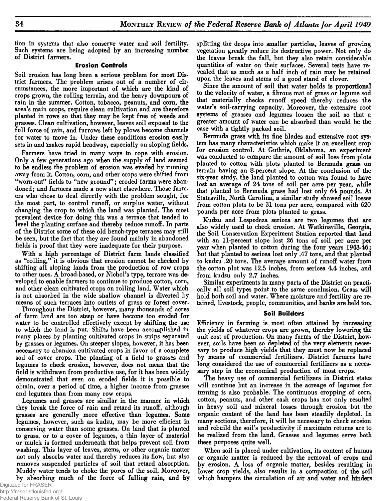**tion in systems that also conserve water and soil fertility. Such systems are being adopted by an increasing number of District farmers.**

### **Erosion Controls**

**Soil erosion has long been a serious problem for most District farmers. The problem arises out of a number of circumstances, the more important of which are the kind of crops grown, the rolling terrain, and the heavy downpours of rain in the summer. Cotton, tobacco, peanuts, and corn, the area's main crops, require clean cultivation and are therefore planted in rows so that they may be kept free of weeds and grasses. Clean cultivation, however, leaves soil exposed to the full force of rain, and furrows left by plows become channels for water to move in. Under these conditions erosion easily sets in and makes rapid headway, especially on sloping fields.**

**Farmers have tried in many ways to cope with erosion. Only a few generations ago when the supply of land seemed to be endless the problem of erosion was evaded by running away from it. Cotton, corn, and other crops were shifted from** "worn-out" fields to "new ground"; eroded farms were aban**doned; and farmers made a new start elsewhere. Those farmers who chose to deal directly with the problem sought, for the most part, to control runoff, or surplus water, without changing the crop to which the land was planted. The most prevalent device for doing this was a terrace that tended to level the planting surface and thereby reduce runoff. In parts of the District some of these old bench-type terraces may still be seen, but the fact that they are found mainly in abandoned fields is proof that they were inadequate for their purpose.**

**With a high percentage of District farm lands classified as "rolling," it is obvious that erosion cannot be checked by shifting all sloping lands from the production of row crops to other uses. A broad-based, or Nichol's type, terrace was developed to enable farmers to continue to produce cotton, corn, and other clean cultivated crops on rolling land. Water which is not absorbed in the wide shallow channel is diverted by means of such terraces into outlets of grass or forest cover.**

**Throughout the District, however, many thousands of acres of farm land are too steep or have become too eroded for water to be controlled effectively except by shifting the use to which the land is put. Shifts have been accomplished in many places by planting cultivated crops in strips separated by grasses or legumes. On steeper slopes, however, it has been necessary to abandon cultivated crops in favor of a complete sod of cover crops. The planting of a field to grasses and legumes to check erosion, however, does not mean that the field is withdrawn from productive use, for it has been widely demonstrated that even on eroded fields it is possible to obtain, over a period of time, a higher income from grasses and legumes than from many row crops.**

**Legumes and grasses are similar in the manner in which they break the force of rain and retard its runoff, although grasses are generally more effective than legumes. Some legumes, however, such as kudzu, may be more efficient in conserving water than some grasses. On land that is planted to grass, or to a cover of legumes, a thin layer of material or mulch is formed underneath that helps prevent soil from washing. This layer of leaves, stems, or other organic matter not only absorbs water and thereby reduces its flow, but also removes suspended particles of soil that retard absorption. Muddy water tends to choke the pores of the soil. Moreover, by absorbing much of the force of falling rain, and by** **splitting the drops into smaller particles, leaves of growing vegetation greatly reduce its destructive power. Not only do the leaves break the fall, but they also retain considerable quantities of water on their surfaces. Several tests have revealed that as much as a half inch of rain may be retained upon the leaves and stems of a good stand of clover.**

**Since the amount of soil that water holds is proportional to the velocity of water, a fibrous mat of grass or legume sod that materially checks runoff speed thereby reduces the water's soil-carrying capacity. Moreover, the extensive root systems of grasses and legumes loosen the soil so that a greater amount of water can be absorbed than would be the case with a tightly packed soil.**

**Bermuda grass with its fine blades and extensive root system has many characteristics which make it an excellent crop for erosion control. At Guthrie, Oklahoma, an experiment was conducted to compare the amount of soil loss from plots planted to cotton with plots planted to Bermuda grass on terrain having an 8-percent slope. At the conclusion of the six-year study, the land planted to cotton was found to have lost an average of 24 tons of soil per acre per year, while that planted to Bermuda grass had lost only 64 pounds. At Statesville, North Carolina, a similar study showed soil losses from cotton plots to be 31 tons per acre, compared with 620 pounds per acre from plots planted to grass.**

**Kudzu and Lespedeza sericea are two legumes that are also widely used to check erosion. At Watkinsville, Georgia, the Soil Conservation Experiment Station reported that land with an 11-percent slope lost 26 tons of soil per acre per year when planted to cotton during the four years 1943-46; but that planted to sericea lost only .47 tons, and that planted to kudzu .20 tons. The average amount of runoff water from the cotton plot was 12.5 inches, from sericea 4.4 inches, and from kudzu only 2.7 inches.**

**Similar experiments in many parts of the District on practically all soil types point to the same conclusion. Grass will hold both soil and water. Where moisture and fertility are retained, livestock, people, communities, and banks are held too.**

### **Soil Builders**

**Efficiency in farming is most often attained by increasing the yields of whatever crops are grown, thereby lowering the unit cost of production. On many farms of the District, however, soils have been so depleted of the very elements necessary to produce high yields that they must now be replaced by means of commercial fertilizers. District farmers have long considered the use of commercial fertilizers as a necessary step in the economical production of most crops.**

**The heavy use of commercial fertilizers in District states will continue but an increase in the acreage of legumes for turning is also probable. The continuous cropping of corn, cotton, peanuts, and other cash crops has not only resulted in heavy soil and mineral losses through erosion but the organic content of the land has been steadily depleted. In many sections, therefore, it will be necessary to check erosion and rebuild the soil's productivity if maximum returns are to be realized from the land. Grasses and legumes serve both these purposes quite well.**

**When soil is placed under cultivation, its content of humus or organic matter is reduced by the removal of crops and by erosion. A loss of organic matter, besides resulting in lower crop yields, also results in a compaction of the soil which hampers the circulation of air and water and hinders**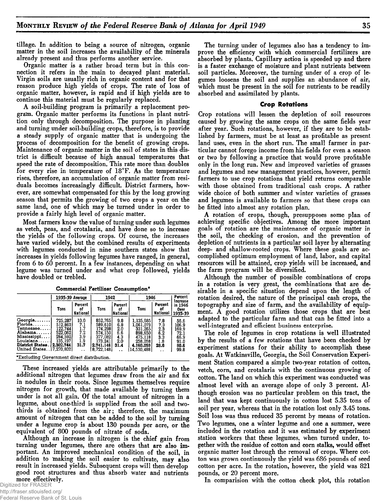**tillage. In addition to being a source of nitrogen, organic matter in the soil increases the availability of the minerals already present and thus performs another service.**

**Organic matter is a rather broad term but in this connection it refers in the main to decayed plant material. Virgin soils are usually rich in organic content and for that reason produce high yields of crops. The rate of loss of organic matter, however, is rapid and if high yields are to continue this material must be regularly replaced.**

**A soil-building program is primarily a replacement program. Organic matter performs its functions in plant nutrition only through decomposition. The purpose in planting and turning under soil-building crops, therefore, is to provide a steady supply of organic matter that is undergoing the process of decomposition for the benefit of growing crops. Maintenance of organic matter in the soil of states in this district is difficult because of high annual temperatures that speed the rate of decomposition. This rate more than doubles for every rise in temperature of 18°F. As the temperature rises, therefore, an accumulation of organic matter from residuals becomes increasingly difficult. District farmers, however, are somewhat compensated for this by the long growing season that permits the growing of two crops a year on the same land, one of which may be turned under in order to provide a fairly high level of organic matter.**

**Most farmers know the value of turning under such legumes as vetch, peas, and crotalaria, and have done so to increase the yields of the following crops. Of course, the increases have varied widely, but the combined results of experiments with legumes conducted in nine southern states show that increases in yields following legumes have ranged, in general, from 6 to 60 percent. In a few instances, depending on what legume was turned under and what crop followed, yields have doubled or trebled.**

|                                                                                                                                     | 1935-39 Average                                                  |                                                 | 1942                                                                                     |                                                | 1946                                                                                          | Percent<br><b>Increase</b>                     |                                                                |  |
|-------------------------------------------------------------------------------------------------------------------------------------|------------------------------------------------------------------|-------------------------------------------------|------------------------------------------------------------------------------------------|------------------------------------------------|-----------------------------------------------------------------------------------------------|------------------------------------------------|----------------------------------------------------------------|--|
|                                                                                                                                     | Tons                                                             | Percent<br>٥f<br><b>National</b>                | Percent<br>Tons<br>۵f<br> National                                                       |                                                | Tons                                                                                          | Percent<br>٥t<br><b>National</b>               | in 1946<br>Over<br>1935-39                                     |  |
| Georgia<br>Florida<br>Tennessee<br>Alabama.<br>Mississippi<br>Louisiana.<br>District States. 2,302,744<br>United States 17.270.8021 | 725,287<br>512,862<br>122.744<br>522.062<br>284.5921<br>135, 197 | 10.0<br>7.1<br>1.7<br>7.2<br>3.9<br>1.9<br>31.7 | 852.765<br>589.610<br>174.298<br>574,150<br>377,082<br>173.241<br>2.741.146<br>8.722.148 | 9.8<br>6.8<br>2.0<br>6.6<br>4.3<br>2.0<br>31.4 | 1.135.685<br>1.061.073<br>331.265<br>898,650<br>475,118<br>258.268<br>4,160,059<br>14,530,488 | 7.8<br>7.3<br>2.3<br>6.2<br>3.3<br>1.8<br>28.6 | 56.6<br>106.9<br>169.9<br>72.1<br>66.9<br>91.0<br>80.6<br>99.8 |  |

Commercial Fertilizer Consumption\*

\*Excluding Government direct distribution.

**These increased yields are attributable primarily to the additional nitrogen that legumes draw from the air and fix in nodules in their roots. Since legumes themselves require nitrogen for growth, that made available by turning them under is not all gain. Of the total amount of nitrogen in a legume, about one-third is supplied from the soil and twothirds is obtained from the air; therefore, the maximum amount of nitrogen that can be added to the soil by turning under a legume crop is about 130 pounds per acre, or the equivalent of 800 pounds of nitrate of soda.**

**Although an increase in nitrogen is the chief gain from turning under legumes, there are others that are also important. An improved mechanical condition of the soil, in addition to making the soil easier to cultivate, may also result in increased yields. Subsequent crops will then develop good root structures and thus absorb water and nutrients more effectively.**

Digitized for FRASER http://fraser.stlouisfed.org/ Federal Reserve Bank of St. Louis

**The turning under of legumes also has a tendency to improve the efficiency with which commercial fertilizers are absorbed by plants. Capillary action is speeded up and there is a faster exchange of moisture and plant nutrients between soil particles. Moreover, the turning under of a crop of legumes loosens the soil and supplies an abundance of air, which must be present in the soil for nutrients to be readily absorbed and assimilated by plants.**

### **Crop Rotations**

**Crop rotations will lessen the depletion of soil resources caused by growing the same crops on the same fields year after year. Such rotations, however, if they are to be established by farmers, must be at least as profitable as present land uses, even in the short run. The small farmer in particular cannot forego income from his fields for even a season or two by following a practice that would prove profitable only in the long run. New and improved varieties of grasses and legumes and new management practices, however, permit farmers to use crop rotations that yield returns comparable with those obtained from traditional cash crops. A rather wide choice of both summer and winter varieties of grasses and legumes is available to farmers so that these crops can be fitted into almost any rotation plan.**

**A rotation of crops, though, presupposes some plan of achieving specific objectives. Among the more important goals of rotation are the maintenance of organic matter in the soil, the checking of erosion, and the prevention of depletion of nutrients in a particular soil layer by alternating deep- and shallow-rooted crops. Where these goals are accomplished optimum employment of land, labor, and capital resources will be attained, crop yields will be increased, and the farm program will be diversified.**

**Although the number of possible combinations of crops in a rotation is very great, the combinations that are desirable in a specific situation depend upon the length of rotation desired, the nature of the principal cash crops, the topography and size of farm, and the availability of equipment. A good rotation utilizes those crops that are best adapted to the particular farm and that can be fitted into a well-integrated and efficient business enterprise.**

**The role of legumes in crop rotations is well illustrated by the results of a few rotations that have been checked by experiment stations for their ability to accomplish these goals. At Watkinsville, Georgia, the Soil Conservation Experiment Station compared a simple two-year rotation of cotton, vetch, com, and crotalaria with the continuous growing of cotton. The land on which this experiment was conducted was almost level with an average slope of only 3 percent. Although erosion was no particular problem on this tract, the land that was kept continuously in cotton lost 5.35 tons of soil per year, whereas that in the rotation lost only 3.45 tons. Soil loss was thus reduced 35 percent by means of rotation. Two legumes, one a winter legume and one a summer, were included in the rotation and it was estimated by experiment station workers that these legumes, when turned under, together with the residue of cotton and corn stalks, would offset organic matter lost through the removal of crops. Where cotton was grown continuously the yield was 686 pounds of seed cotton per acre. In the rotation, however, the yield was 821 pounds, or 20 percent more.**

**In comparision with the cotton check plot, this rotation**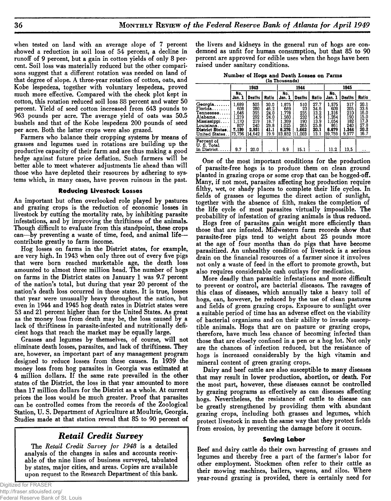**when tested on land with an average slope of 7 percent showed a reduction in soil loss of 54 percent, a decline in runoff of 9 percent, but a gain in cotton yields of only 8 percent. Soil loss was materially reduced but the other comparisons suggest that a different rotation was needed on land of that degree of slope. A three-year rotation of cotton, oats, and Kobe lespedeza, together with voluntary lespedeza, proved much more effective. Compared with the check plot kept in cotton, this rotation reduced soil loss 88 percent and water 50 percent. Yield of seed cotton increased from 643 pounds to 963 pounds per acre. The average yield of oats was 50.5 bushels and that of the Kobe lespedeza 200 pounds of seed per acre. Both the latter crops were also grazed.**

**Farmers who balance their cropping systems by means of grasses and legumes used in rotations are building up the productive capacity of their farm and are thus making a good hedge against future price deflation. Such farmers will be better able to meet whatever adjustments lie ahead than will those who have depleted their resources by adhering to systems which, in many cases, have proven ruinous in the past.**

### **Reducing Livestock Losses**

**An important but often overlooked role played by pastures and grazing crops is the reduction of economic losses in livestock by cutting the mortality rate, by inhibiting parasite infestations, and by improving the thriftiness of the animals. Though difficult to evaluate from this standpoint, these crops can—by preventing a waste of time, feed, and animal life contribute greatly to farm income.**

**Hog losses on farms in the District states, for example, are very high. In 1943 when only three out of every five pigs that were born reached marketable age, the death loss amounted to almost three million head. The number of hogs on farms in the District states on January 1 was 9.7 percent of the nation's total, but during that year 20 percent of the nation's death loss occurred in those states. It is true, losses that year were unusually heavy throughout the nation, but even in 1944 and 1945 hog death rates in District states were 53 and 21 percent higher than for the United States. As great as the money loss from death may be, the loss caused by a lack of thriftiness in parasite-infested and nutritionally deficient hogs that reach the market may be equally large.**

**Grasses and legumes by themselves, of course, will not eliminate death losses, parasites, and lack of thriftiness. They are, however, an important part of any management program designed to reduce losses from these causes. In 1939 the money loss from hog parasites in Georgia was estimated at 4 million dollars. If the same rate prevailed in the other states of the District, the loss in that year amounted to more than 17 million dollars for the District as a whole. At current prices the loss would be much greater. Proof that parasites can be controlled comes from the records of the Zoological Station, U. S. Department of Agriculture at Moultrie, Georgia. Studies made at that station reveal that 85 to 90 percent of**

## *R e t a i l C r e d i t S u r v e y*

**The** *Retail Credit Survey for 1948* **is a detailed analysis of the changes in sales and accounts receivable of the nine lines of business surveyed, tabulated by states, major cities, and areas. Copies are available upon request to the Research Department of this bank.**

**the livers and kidneys in the general run of hogs are condemned as unfit for human consumption, but that 85 to 90 percent are approved for edible uses when the hogs have been raised under sanitary conditions.**

| Number of Hogs and Death Losses on Farms |  |                |  |  |
|------------------------------------------|--|----------------|--|--|
|                                          |  | (In Thousands) |  |  |

|                                                                                                                      |                                                                  | 1943                                                      |                                                              |                                                                     | 1944                                                     |                                                              | 1945                                                              |                                                          |                                                              |  |
|----------------------------------------------------------------------------------------------------------------------|------------------------------------------------------------------|-----------------------------------------------------------|--------------------------------------------------------------|---------------------------------------------------------------------|----------------------------------------------------------|--------------------------------------------------------------|-------------------------------------------------------------------|----------------------------------------------------------|--------------------------------------------------------------|--|
|                                                                                                                      | No.<br>Jan. 1                                                    | Deaths                                                    | Ratio                                                        | No.<br>Jan. 1                                                       | <b>Deaths</b>                                            | Ratio                                                        | No.<br>Jan. 1                                                     | Deaths                                                   | Ratio                                                        |  |
| $Geor$ ia<br>Florida<br>$T$ ennessee<br>Alabama. .<br>Mississippi.<br>Louisiana<br>District States.<br>United States | 1.689<br>608<br>1.646<br>.219<br>1.170<br>807<br>7,139<br>73,736 | 505<br>280<br>395<br>292<br>219<br>240<br>2.931<br>14,642 | 30.0<br>46.2<br>24.0<br>24.0<br>18.7<br>29.8<br>41.1<br>19.9 | 1.875<br>669<br>1.778<br>1.560<br>1,369<br>1.025<br>8.276<br>83.852 | 510<br>23<br>235<br>232<br>190<br>265<br>1.662<br>11.003 | 27.7<br>34.6<br>13.2<br>14.9<br>13.9<br>25.8<br>20.1<br>13.1 | 1.575<br>609<br>1.316<br>1.264<br>1.054<br>861<br>6.679<br>59.759 | 317<br>205<br>210<br>190<br>182<br>240<br>1,344<br>9,977 | 20.1<br>33.6<br>16.0<br>15.0<br>17.3<br>27.8<br>20.2<br>16.7 |  |
| Percent of<br>U.S. Total<br>in District.                                                                             | 9.7                                                              | 20.0                                                      |                                                              | 9.9                                                                 | 15.1                                                     |                                                              | 11.2                                                              | 13.5                                                     |                                                              |  |

**One of the most important conditions for the production of parasite-free hogs is to produce them on clean ground planted in grazing crops or some crop that can be hogged-off. Many, if not most, parasites affecting hog production require filthy, wet, or shady places to complete their life cycles. In fields of grasses or legumes the direct action of sunlight, together with the absence of filth, makes the completion of the life cycle of most parasites virtually impossible. The probability of infestation of grazing animals is thus reduced.**

**Hogs free of parasites gain weight more efficiently than those that are infested. Midwestern farm records show that parasite-free pigs tend to weight about 25 pounds more at the age of four months than do pigs that have become parasitized. An unhealthy condition of livestock is a serious drain on the financial resources of a farmer since it involves not only a waste of feed in the effort to promote growth, but also requires considerable cash outlays for medication.**

**More deadly than parasitic infestations and more difficult to prevent or control, are bacterial diseases. The ravages of this class of diseases, which annually take a heavy toll of hogs, can, however, be reduced by the use of clean pastures and fields of green grazing crops. Exposure to sunlight over a suitable period of time has an adverse effect on the viability of bacterial organisms and on their ability to invade susceptible animals. Hogs that are on pasture or grazing crops, therefore, have much less chance of becoming infected than those that are closely confined in a pen or a hog lot. Not only are the chances of infection reduced, but the resistance of hogs is increased considerably by the high vitamin and mineral content of green grazing crops.**

**Dairy and beef cattle are also susceptible to many diseases that may result in lower production, abortion, or death. For the most part, however, these diseases cannot be controlled by grazing programs as effectively as can diseases affecting hogs. Nevertheless, the resistance of cattle to disease can be greatly strengthened by providing them with abundant grazing crops, including both grasses and legumes, which protect livestock in much the same way that they protect fields from erosion, by preventing the damage before it occurs.**

### **Saving Labor**

**Beef and dairy cattle do their own harvesting of grasses and legumes and thereby free a part of the farmer's labor for other employment. Stockmen often refer to their cattle as their mowing machines, bailers, wagons, and silos. Where year-round grazing is provided, there is certainly need for**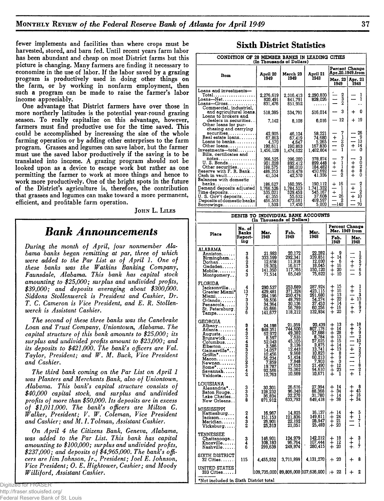**fewer implements and facilities than where crops must be harvested, stored, and barn fed. Until recent years farm labor has been abundant and cheap on most District farms but this picture is changing. Many farmers are finding it necessary to economize in the use of labor. If the labor saved by a grazing program is productively used in doing other things on the farm, or by working in nonfarm employment, then such a program can be made to raise the farmer's labor income appreciably.**

**One advantage that District farmers have over those in more northerly latitudes is the potential year-round grazing season. To really capitalize on this advantage, however, farmers must find productive use for the time saved. This could be accomplished by increasing the size of the whole farming operation or by adding other enterprises to the farm program. Grasses and legumes can save labor, but the farmer must use the saved labor productively if the saving is to be translated into income. A grazing program should not be looked upon as a device to escape work but rather as one permitting the farmer to work at more things and hence to work more productively. One of the bright spots in the future of the District's agriculture is, therefore, the contribution that grasses and legumes can make toward a more permanent, efficient, and profitable farm operation.**

JOHN L. LILES

# *Bank Announcements*

*During the month of April, four nonmember Ala**bama banks began remitting at par, three of which were added to the Par List as of April 1. One of these banks was the Watkins Banking Company***,** *Faunsdale, Alabama. This bank has capital stock amounting to \$25,000; surplus and undivided profits, \$39,000; and deposits averaging about \$300,000. Siddons Stollenwerck is President and Cashier, Dr. T. C. Cameron is Vice President, and E. R. Stollenwerck is Assistant Cashier.*

*The second of these three banks was the Canebrake Loan and Trust Company, Uniontown, Alabama. The capital structure of this bank amounts to \$25,000; its surplus and undivided profits amount to \$23,000; and its deposits to \$421,000. The bank's officers are Val. Taylor, President; and W. M. Buck, Vice President and Cashier.*

*The third bank coming on the Par List on April 1 was Planters and Merchants Bank, also of Uniontown, Alabama. This bank's capital structure consists of \$40,000 capital stock, and surplus and undivided profits of more than \$50,000. Its deposits are in excess of \$1,011,000. The bank's officers are Milton G. Walker, President; V. W. Coleman, Vice President and Cashier; and M. I. Tolman, Assistant Cashier.*

*On April 4 the Citizens Bank, Geneva***,** *Alabama, was added to the Par List. This bank has capital amounting to \$100,000; surplus and undivided profits, \$237,000; and deposits of \$4,965,000. The bank's officers are Jim Johnson, Jr., President; Joel E. Johnson, Vice President; 0 . E. Hightower, Cashier; and Moody Williford, Assistant Cashier.*

| CONDITION OF 28 MEMBER BANKS IN LEADING CITIES    |                      |                                       |              |                                    |                            |  |
|---------------------------------------------------|----------------------|---------------------------------------|--------------|------------------------------------|----------------------------|--|
| Item                                              | April 20             | (In Thousands of Dollars)<br>March 23 | April 21     | Percent Change<br>Apr.20,1949,from |                            |  |
|                                                   | 1949                 | 1949                                  | 1948         | Mar. 23   Apr. 21<br>1949          | 1948                       |  |
| Loans and investments-                            |                      |                                       |              |                                    |                            |  |
| Total<br>Loans-Net                                | 2,276,619            | 2,316,413                             | 2,290,830    | $\frac{2}{2}$                      | 1<br>$\mathbf{1}$          |  |
| $Loans—Gross$                                     | 820,491<br>831,476   | 841,791<br>851.952                    | 828,026<br>. |                                    |                            |  |
| Commercial, industrial,                           |                      |                                       |              |                                    |                            |  |
| and agricultural loans.                           | 518,385              | 534,791                               | 516,014      | 3                                  | n<br>┿                     |  |
| Loans to brokers and                              |                      |                                       |              |                                    |                            |  |
| dealers in securities                             | 7,142                | 8,108                                 | 6,016        | 12                                 | 19<br>$\div$               |  |
| Other loans for pur-<br>chasing and carrying      |                      |                                       |              |                                    |                            |  |
| securities                                        | 42.905               | 46,124                                | 58,221       | 7                                  | 26                         |  |
| Real estate loans                                 | 67,863               | 67,419                                | 74,680       | $\frac{+}{-}$<br>$\mathbf{1}$      | -9                         |  |
| Loans to banks                                    | 4,570                | 4.647                                 | 5,265        | $\frac{2}{0}$                      | -- 13                      |  |
| Other loans                                       | 190.611              | 190,863                               | 167,830      |                                    | $\ddot{+}$<br>14           |  |
| $Investments$ -total                              | 1,456,128            | 1.474.622                             | 1,462,804    |                                    | 0                          |  |
| Bills, certificates and<br>notes                  | 366,525              | 396.200                               | 378,874      | 7                                  |                            |  |
| U.S. Bonds                                        | 901,028              | 892,412                               | 899,448      | $\frac{+}{-}$                      | 30280                      |  |
| Other securities                                  | 188,575              | 186,010                               | 184,482      |                                    |                            |  |
| Reserve with F. R. Bank                           | 486,353              | 519,478                               | 450,692      | $\frac{1}{6}$                      | $+ +$                      |  |
| $Cash in vault. \ldots \ldots \ldots$             | 41.534               | 42,570                                | 41,336       |                                    |                            |  |
| Balances with domestic                            |                      | 160,395                               | 190.112      | 16<br>÷                            |                            |  |
| Demand deposits adjusted                          | 186.627<br>1,766,526 | 1.784.523                             | 1.741.332    | ı                                  | $\frac{2}{2}$<br>$\ddot{}$ |  |
| $Time\,\texttt{deposits} \dots \dots \dots \dots$ | 535,021              | 529,450                               | 545.167      | $+$                                |                            |  |
| U. S. Gov't deposits                              | 41,355               | 55,632                                | 37,608       | 26<br>$\overline{\phantom{0}}$     | $+$<br>10                  |  |
| Deposits of domestic banks                        | 466,563              | 473.681                               | 469.597      | 2                                  | ı                          |  |
| Borrowings                                        | 1,500                | 17.450                                | 5.000        | -140                               | 70                         |  |

| DEBITS TO INDIVIDUAL BANK ACCOUNTS<br>Thousands of Dollars)<br>(In                                                                                                                                          |                                |                                                                                                                              |                                                                                                                                 |                                                                                                                                                                       |                                                                                                       |                                                                                              |  |  |  |
|-------------------------------------------------------------------------------------------------------------------------------------------------------------------------------------------------------------|--------------------------------|------------------------------------------------------------------------------------------------------------------------------|---------------------------------------------------------------------------------------------------------------------------------|-----------------------------------------------------------------------------------------------------------------------------------------------------------------------|-------------------------------------------------------------------------------------------------------|----------------------------------------------------------------------------------------------|--|--|--|
|                                                                                                                                                                                                             | No, of<br><b>Banks</b>         | Mar.                                                                                                                         | Feb.                                                                                                                            | Mar.                                                                                                                                                                  |                                                                                                       | <b>Percent Change</b><br>Mar. 1949 from                                                      |  |  |  |
| Place                                                                                                                                                                                                       | Report- <br>ing                | 1949                                                                                                                         | 1949                                                                                                                            | 1948                                                                                                                                                                  | Feb.<br>1949                                                                                          | Mar.<br>1948                                                                                 |  |  |  |
| ALABAMA<br>Anniston<br>Birmingham<br>Dothan<br>$G$ adsden. $\ldots$<br>Mobile<br>Montgomery                                                                                                                 | 36234<br>ā                     | 21,983<br>333,599<br>12.658<br>19,302<br>141,350<br>71,514                                                                   | 20,172<br>292,341<br>11,918<br>16,617<br>117,765<br>65,049                                                                      | 22,282<br>339,851<br>12,030<br>18,045<br>150,120<br>75,622                                                                                                            | 9<br>┿<br>∔<br>14<br>$\ddagger$<br>6<br>16<br>20<br>$\ddot{}$<br>10<br>$\ddot{}$                      | 125765<br>$\frac{1}{1}$                                                                      |  |  |  |
| <b>FLORIDA</b><br>Jacksonville<br>Greater Miami*<br>Miami.<br>Orlando<br>Pensacola<br>St. Petersburg.<br>$\mathtt{Tampa}, \ldots, \ldots$                                                                   | 4<br>ıŝ<br>73336               | 290,537<br>429,481<br>284,196<br>59,506<br>34,364<br>65,666<br>141,677                                                       | 253,689<br>371,324<br>250,474<br>48,793<br>30,136<br>56,789<br>118,212                                                          | 287,924<br>423,115<br>291,680<br>37,453<br>60,256<br>132,934                                                                                                          | 15<br>$\ddagger$<br>īš<br>13<br>22<br>$\ddagger$<br>$\overline{14}$<br>$\ddagger$<br>16<br>20         | $\frac{1}{1}$<br>$rac{+}{+}$<br>$\frac{3}{10}$<br>$\ddot{}$<br>8<br>9<br>7<br>$\overline{+}$ |  |  |  |
| GEORGIA<br>Albany<br>Atlanta'<br>Augusta. <b>.</b> .<br>Brunswick<br>Columbus<br>Elberton<br>Gainesville*<br>Griffin*<br><b>Macon.</b><br>Newnan<br>$Rome$ *<br>Savannah<br>$\mathtt{Valdosta} \dots \dots$ | 3432423232342                  | 24,198<br>848,351<br>62,972<br>8,597<br>52.043<br>3,586<br>14,057<br>10,456<br>56,234<br>7,859<br>19,787<br>92,566<br>10,763 | 21,359<br>744,600<br>49,382<br>$7,635$<br>45, 105<br>3, 136<br>12.443<br>9,668<br>51,424<br>7,848<br>17,653<br>75,062<br>10,669 | 20,439<br>807,176<br>$\begin{array}{r} 57,688 \\ 8,784 \\ 57,625 \\ 3,875 \\ 13,741 \\ 10,792 \end{array}$<br>10,823<br>60,213<br>7,903<br>21,490<br>94,610<br>10,671 | 13<br>14<br>+++++++++++++<br>28<br>$\frac{13}{15}$<br>14<br>13<br>0<br>0<br>0<br>$\frac{12}{23}$<br>ī | 18592072371821<br>+++       +                                                                |  |  |  |
| LOUISIANA<br>Alexandria*<br>Baton Rouge<br>Lake Charles<br>New Orleans                                                                                                                                      | മധധ                            | 30,301<br>128,232<br>36,834<br>871,912                                                                                       | 26,616<br>96.040<br>32,270<br>633,793                                                                                           | 27,994<br>88,368<br>31,780<br>649,418                                                                                                                                 | $\frac{14}{34}$<br>$^{+}_{+}$<br>$\ddagger$<br>14<br>38                                               | $\frac{8}{45}$<br>$\ddagger$<br>I6<br>34                                                     |  |  |  |
| MISSISSIPPI<br>Hattiesburg<br>Jackson<br>Meridian. <b>. .</b> .<br>Vicksburg                                                                                                                                | $\frac{2}{4}$<br>$\frac{3}{2}$ | 16,967<br>151,153<br>26,901<br>25,313                                                                                        | 14,825<br>121.836<br>22,192<br>21,051                                                                                           | 16,137<br>149,611<br>28,947<br>25,483                                                                                                                                 | 14<br>$\ddagger$<br>24<br>十<br>21<br>20                                                               | 51<br>71<br>$\frac{1}{1}$                                                                    |  |  |  |
| TENNESSEE<br>Chattanooga. .<br>Knoxville<br>Nashville                                                                                                                                                       | 3<br>4<br>š                    | 146,901<br>108,180<br>299,638                                                                                                | 124,979<br>96,764<br>249,974                                                                                                    | 142,212<br>107,444<br>280,415                                                                                                                                         | 18<br>$\ddot{}$<br>īż<br>$\ddagger$<br>20                                                             | 3<br>1<br>7<br>$\ddagger_+$                                                                  |  |  |  |
| SIXTH DISTRICT<br>32 Cities                                                                                                                                                                                 | 115                            | 4,455,552                                                                                                                    | 3,711,899                                                                                                                       | 4,131,270                                                                                                                                                             | 20<br>$+$                                                                                             | 8<br>┿                                                                                       |  |  |  |
| UNITED STATES<br>$333$ Cities<br>*Not included in Sixth District total                                                                                                                                      |                                |                                                                                                                              |                                                                                                                                 | $ 109.735.000 $ 89,806,000 $ 107.636.000 $ $+$ 22                                                                                                                     |                                                                                                       | 2                                                                                            |  |  |  |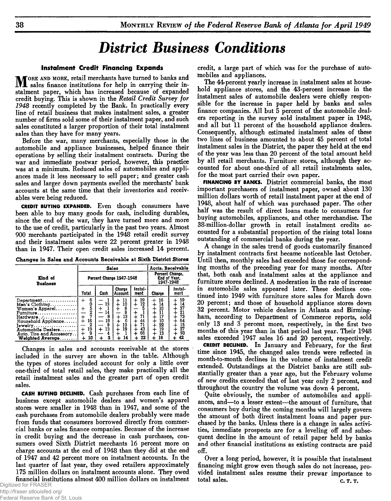# *District Business Conditions*

### **Instalment Credit Financing Expands**

**M** ORE AND MORE, retail merchants have turned to banks and sales finance institutions for help in carrying their instalment paper, which has increased because of expanded **sales finance institutions for help in carrying their instalment paper, which has increased because of expanded credit buying. This is shown in the** *Retail Credit Survey for 1948* **recently completed by the Bank. In practically every line of retail business that makes instalment sales, a greater number of firms sold some of their instalment paper, and such sales constituted a larger proportion of their total instalment sales than they have for many years.**

**Before the war, many merchants, especially those in the automobile and appliance businesses, helped finance their operations by selling their instalment contracts. During the war and immediate postwar period, however, this practice was at a minimum. Reduced sales of automobiles and appliances made it less necessary to sell paper; and greater cash sales and larger down payments swelled the merchants' bank accounts at the same time that their inventories and receivables were being reduced.**

**CREDIT BUYING EXPANDED. Even though consumers have been able to buy many goods for cash, including durables, since the end of the war, they have turned more and more to the use of credit, particularly in the past two years. Almost 900 merchants participated in the 1948 retail credit survey and their instalment sales were 22 percent greater in 1948 than in 1947. Their open credit sales increased 14 percent.**

Changes in Sales and Accounts Receivable at Sixth District Stores

|                                                                                                                                                                                                               |                                                   | <b>Sales</b>                  | Accts, Receivable<br>Percent Change,<br>End of Year.<br>1947-1948 |                                                                |                                              |                                                                        |
|---------------------------------------------------------------------------------------------------------------------------------------------------------------------------------------------------------------|---------------------------------------------------|-------------------------------|-------------------------------------------------------------------|----------------------------------------------------------------|----------------------------------------------|------------------------------------------------------------------------|
| Kind of<br>Business                                                                                                                                                                                           |                                                   | Percent Change 1947-1948      |                                                                   |                                                                |                                              |                                                                        |
|                                                                                                                                                                                                               | Total                                             | Cash                          | <b>Charge</b><br><b>Account</b>                                   | Instal-<br>ment                                                | Charge                                       | Instal-<br>ment                                                        |
| Department.<br>Men's $Choting \ldots \ldots \ldots$<br>Women's Apparel<br>$F$ utniture<br>Hardware<br>Household Appliance<br>$I$ ewelry<br>Automobile Dealers<br>Auto. Tire and Accessory<br>Weighted Average | 6<br>Ŏ<br>5<br>2<br>7<br>16<br>2<br>19<br>9<br>10 | 13<br>8<br>l8<br>8<br>13<br>3 | 11<br>10<br>8<br>13<br>÷<br>6<br>13<br>19<br>14                   | 39<br>۰<br>12<br>$\ddot{}$<br>71<br>44<br>71<br>43<br>66<br>22 | 16<br>14<br>10<br>10<br>22<br>19<br>13<br>16 | 59<br>$\frac{14}{37}$<br>$\frac{21}{73}$<br>64<br>15<br>27<br>93<br>42 |

**Changes in sales and accounts receivable at the stores included in the survey are shown in the table. Although the types of stores included account for only a little over one-third of total retail sales, they make practically all the retail instalment sales and the greater part of open credit sales.**

**CASH BUYING DECLINED. Cash purchases from each line of business except automobile dealers and women's apparel stores were smaller in 1948 than in 1947, and some of the cash purchases from automobile dealers probably were made from funds that consumers borrowed directly from commercial banks or sales finance companies. Because of the increase in credit buying and the decrease in cash purchases, consumers owed Sixth District merchants 16 percent more on charge accounts at the end of 1948 than they did at the end of 1947 and 42 percent more on instalment accounts. In the last quarter of last year, they owed retailers approximately 175 million dollars on instalment accounts alone. They owed financial institutions almost 400 million dollars on instalment**

Federal Reserve Bank of St. Louis

**credit, a large part of which was for the purchase of automobiles and appliances.**

**The 44-percent yearly increase in instalment sales at household appliance stores, and the 43-percent increase in the instalment sales of automobile dealers were chiefly responsible for the increase in paper held by banks and sales finance companies. All but 5 percent of the automobile dealers reporting in the survey sold instalment paper in 1948, and all but 11 percent of the household appliance dealers. Consequently, although estimated instalment sales of these two lines of business amounted to about 45 percent of total instalment sales in the District, the paper they held at the end of the year was less than 20 percent of the total amount held by all retail merchants. Furniture stores, although they accounted for about one-third of all retail instalments sales, for the most part carried their own paper.**

**FINANCING BY BANKS. District commercial banks, the most important purchasers of instalment paper, owned about 130 million dollars worth of retail instalment paper at the end of 1948, about half of which was purchased paper. The other half was the result of direct loans made to consumers for buying automobiles, appliances, and other merchandise. The 38-million-dollar growth in retail instalment credits accounted for a substantial proportion of the rising total loans outstanding of commercial banks during the year.**

**A change in the sales trend of goods customarily financed by instalment contracts first became noticeable last October. Until then, monthly sales had exceeded those for corresponding months of the preceding year for many months. After that, both cash and instalment sales at the appliance and furniture stores declined. A moderation in the rate of increase in automobile sales appeared later. These declines continued into 1949 with furniture store sales for March down 20 percent; and those of household appliance stores down 32 percent. Motor vehicle dealers in Atlanta and Birmingham, according to Department of Commerce reports, sold only 13 and 3 percent more, respectively, in the first two months of this year than in that period last year. Their 1948 sales exceeded 1947 sales 16 and 20 percent, respectively.**

**CREDIT DECLINED. In January and February, for the first time since 1945, the changed sales trends were reflected in month-to-month declines in the volume of instalment credit extended. Outstandings at the District banks are still substantially greater than a year ago, but the February volume of new credits exceeded that of last year only 2 percent, and throughout the country the volume was down 4 percent.**

**Quite obviously, the number of automobiles and appliances, and—to a lesser extent—the amount of furniture, that consumers buy during the coming months will largely govern the amount of both direct instalment loans and paper purchased by the banks. Unless there is a change in sales activities, immediate prospects are for a leveling off and subsequent decline in the amount of retail paper held by banks and other financial institutions as existing contracts are paid off.**

**Over a long period, however, it is possible that instalment financing might grow even though sales do not increase, provided instalment sales resume their prewar importance to** total sales. **c.** T. **T.**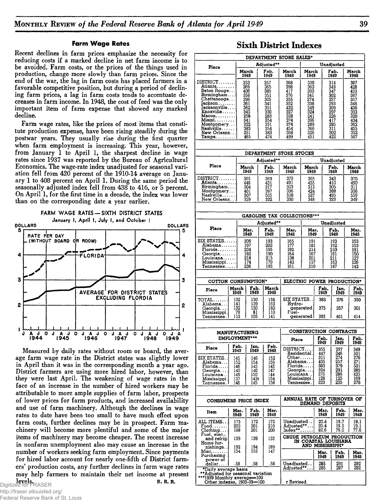#### **Farm W age Rates**

**Recent declines in farm prices emphasize the necessity for reducing costs if a marked decline in net farm income is to be avoided. Farm costs, or the prices of the things used in production, change more slowly than farm prices. Since the end of the war, the lag in farm costs has placed farmers in a favorable competitive position, but during a period of declining farm prices, a lag in farm costs tends to accentuate decreases in farm income. In 1948, the cost of feed was the only important item of farm expense that showed any marked decline.**

**Farm wage rates, like the prices of most items that constitute production expense, have been rising steadily during the postwar years. They usually rise during the first quarter when farm employment is increasing. This year, however, from January 1 to April 1, the sharpest decline in wage rates since 1937 was reported by the Bureau of Agricultural Economics. The wage-rate index unadjusted for seasonal variation fell from 420 percent of the 1910-14 average on January 1 to 408 percent on April 1. During the same period the seasonally adjusted index fell from 438 to 416, or 5 percent. On April 1, for the first time in a decade, the index was lower than on the corresponding date a year earlier.**



**Measured by daily rates without room or board, the average farm wage rate in the District states was slightly lower in April than it was in the corresponding month a year ago. District farmers are using more hired labor, however, than they were last April. The weakening of wage rates in the face of an increase in the number of hired workers may be attributable to more ample supplies of farm labor, prospects of lower prices for farm products, and increased availability and use of farm machinery. Although the declines in wage rates to date have been too small to have much effect upon farm costs, further declines may be in prospect. Farm machinery will become more plentiful and some of the major items of machinery may become cheaper. The recent increase in nonfarm unemployment also may cause an increase in the number of workers seeking farm employment. Since payments for hired labor account for nearly one-fifth of District farmers' production costs, any further declines in farm wage rates may help farmers to maintain their net income at present**

**levels.**<br>Digitized for FRASER

http://fraser.stlouisfed.org/ Federal Reserve Bank of St. Louis

## **Sixth District Indexes**

| DEPARTMENT STORE SALES*                                          |      |               |                                              |               |                                                                |               |                                          |                          |                   |  |  |
|------------------------------------------------------------------|------|---------------|----------------------------------------------|---------------|----------------------------------------------------------------|---------------|------------------------------------------|--------------------------|-------------------|--|--|
| Place                                                            |      | Adjusted**    |                                              |               |                                                                | Unadjusted    |                                          |                          |                   |  |  |
|                                                                  |      |               | March<br>1949                                | Feb.<br>1949  | March<br>1948                                                  | March<br>1949 |                                          | Feb.<br>1949             | March<br>1948     |  |  |
| DISTRICT                                                         |      |               | 353                                          | 357           | 368                                                            | 339           |                                          | 314                      | 387               |  |  |
| Atlanta<br>Baton Rouge                                           |      |               | 369<br>406                                   | 365<br>385    | 398<br>417                                                     | 363<br>393    |                                          | 343<br>347               | 428<br>433        |  |  |
| Birmingham                                                       |      |               | 358                                          | 351           | 376<br>355                                                     | 341           |                                          | 302                      | 387               |  |  |
| Chattanooga<br>Jackson<br>Jacksonville                           |      |               | 296<br>361                                   | 305<br>341    | 352                                                            | 274<br>338    |                                          | 257<br>293               | 357<br>346        |  |  |
| Knoxville                                                        |      |               | 362                                          | 351<br>330    | 432<br>327                                                     | 349<br>324    |                                          | 309<br>297               | 436<br>333        |  |  |
| $Macon, \ldots, \ldots$                                          |      |               | 343<br>258                                   | 283           | 328                                                            | 241           |                                          | 226                      | 320               |  |  |
| Miami.<br>Montgomery                                             |      |               | 341<br>322                                   | 354<br>331    | 374<br>374                                                     | 396<br>289    |                                          | 417<br>285               | 434<br>362        |  |  |
| Nashville                                                        |      |               | 383<br>351                                   | 354<br>343    | 454                                                            | 366           |                                          | 311                      | 455<br>352        |  |  |
| New Orleans<br>$\texttt{Tampa}\dots\dots\dots$                   |      |               | 465                                          | 474           | 368<br>499                                                     | 326<br>451    |                                          | 302<br>422               | 507               |  |  |
|                                                                  |      |               |                                              |               | DEPARTMENT STORE STOCKS                                        |               |                                          |                          |                   |  |  |
|                                                                  |      |               |                                              | Adjusted**    |                                                                |               |                                          | Unadjusted               |                   |  |  |
| Place                                                            |      |               | March<br>1949                                | Feb.<br>1949  | March<br>1948                                                  | March<br>1949 |                                          | Feb.                     | March             |  |  |
| $\texttt{DISTRICT}\dots\dots$                                    |      |               | 365                                          | 369           | 370                                                            | 365           |                                          | 1949<br>343              | 1948<br>370       |  |  |
| Atlanta.                                                         |      |               | 446                                          | 431           | 481                                                            | 455           |                                          | 410                      | 490               |  |  |
| Birmingham<br>Montgomery                                         |      |               | 304<br>401                                   | 317<br>397    | 303<br>336                                                     | 313<br>424    |                                          | 305<br>388               | 311<br>356        |  |  |
| Nashville<br>New Orleans.                                        |      |               | 507<br>329                                   | 505<br>322    | 538<br>330                                                     | 527<br>348    |                                          | 495<br>323               | 559<br>349        |  |  |
|                                                                  |      |               |                                              |               |                                                                |               |                                          |                          |                   |  |  |
|                                                                  |      |               |                                              |               |                                                                |               |                                          |                          |                   |  |  |
|                                                                  |      |               |                                              | Adjusted**    | GASOLINE TAX COLLECTIONS***                                    |               |                                          | Unadjusted               |                   |  |  |
| Place                                                            |      |               | Mar.                                         | Feb.          | Mar.                                                           | Mar.          |                                          | Feb.                     | Mar.              |  |  |
| $\texttt{SIX}$ $\texttt{STATES} \dots$ .                         |      |               | 1949                                         | 1949          | 1948                                                           | 1949          |                                          | 1949                     | 1948              |  |  |
| Alabama                                                          |      |               | 206<br>197                                   | 193<br>202    | 165<br>177                                                     | 191<br>181    |                                          | 193<br>192               | 153<br>163        |  |  |
| ${\color{black} {\rm Florida}}{} \dots \dots \dots$<br>Georgia   |      |               | 204<br>182                                   | 195<br>190    | 182<br>164                                                     | 214<br>167    |                                          | 210<br>181               | 191               |  |  |
| Louisiana                                                        |      | 218           |                                              | 215           | 138<br>201                                                     |               | 211                                      |                          | 150<br>127        |  |  |
| Mississippi<br>$T$ ennessee $\ldots$ .                           |      |               | 174<br>238                                   | 170<br>195    | 140<br>157<br>161<br>210                                       |               | 163<br>187                               |                          | 126<br>142        |  |  |
|                                                                  |      |               |                                              |               |                                                                |               |                                          |                          |                   |  |  |
| COTTON CONSUMPTION*                                              |      |               |                                              |               | ELECTRIC POWER PRODUCTION*                                     |               |                                          |                          |                   |  |  |
| Place                                                            |      | March<br>1949 | Feb.<br>1949                                 | March<br>1948 |                                                                |               | Feb.<br>1949                             | Jan.<br>1949             | Feb.<br>1948      |  |  |
| $\texttt{TOTAL}\dots\dots$                                       |      | 132           | 130                                          | 158           | SIX STATES. .                                                  |               | 383                                      | 376                      | 350               |  |  |
| Alabam <b>a</b>                                                  |      | 141<br>132    | 139<br>130                                   | 162           | Hydro-                                                         | generated.    | 375                                      | 357                      | 301               |  |  |
| Georgia<br>Mississippi.                                          |      | 79            | 81                                           | 160<br>110    | Fuel-                                                          |               |                                          |                          |                   |  |  |
| Tennessee.                                                       |      | 113           | 105                                          | 141           |                                                                | generated     | 393<br>401                               |                          | 414               |  |  |
|                                                                  |      |               |                                              |               |                                                                |               |                                          |                          |                   |  |  |
|                                                                  |      |               | <b>MANUFACTURING</b><br><b>EMPLOYMENT***</b> |               | <b>CONSTRUCTION CONTRACTS</b><br>Feb.<br>Jan.<br>Feb.<br>Place |               |                                          |                          |                   |  |  |
| Place                                                            |      | Feb.          | Jan.                                         | Feb.          |                                                                |               | 1949                                     | 1949                     | 1948              |  |  |
|                                                                  |      | 1949          | 1949.                                        | 1948          | DISTRICT<br>Residential.                                       |               | 355<br>447                               | 297                      | 349               |  |  |
| SIX STATES.<br>Alabama                                           |      | 145<br>152    | 146<br>154                                   | 152<br>159    | $Other.\dots$<br>Alabama                                       |               | 311<br>435                               | 346<br>274<br>257<br>379 | 501<br>276<br>271 |  |  |
| Florida                                                          | -146 |               | 145                                          | 145           | Florida                                                        |               | 383                                      |                          | 501               |  |  |
| Georgia<br>Louisiana. .                                          |      | 140<br>149    | 140<br>150                                   | 147<br>144    | Georgia<br>Louisiana. .                                        |               | 324<br>375                               | 291<br>286               | 285<br>425        |  |  |
| Mississippi !<br>Tennessee. I                                    |      | 137<br>146    | 143r<br>145                                  | 154<br>158    | Mississippi .<br>Tennessee.                                    |               | 128<br>323                               | 125<br>235               | 169<br>270        |  |  |
|                                                                  |      |               |                                              |               |                                                                |               |                                          |                          |                   |  |  |
|                                                                  |      |               |                                              |               |                                                                |               |                                          |                          |                   |  |  |
| <b>CONSUMERS PRICE INDEX</b>                                     |      |               |                                              |               | ANNUAL RATE OF TURNOVER OF                                     |               | <b>DEMAND DEPOSITS</b>                   |                          |                   |  |  |
| ltem                                                             |      | Mar.<br>1949  | Feb.<br>1949                                 | Mar.<br>1948  |                                                                |               | Mar.<br>1949                             | Feb.<br>1949             | Mar.<br>1948      |  |  |
| ALL ITEMS. .                                                     |      | 173           | 172                                          | 172           | Unadjusted. .                                                  |               | 20.4                                     | 19.7                     | 19.1              |  |  |
| $\texttt{Food} \dots \dots$<br>${\rm Clothing.} \dots$           |      | 203<br>198    | 201<br>201                                   | 210<br>200    | Adjusted**<br>Index**                                          |               | 20.4<br>82.6                             | 19.5<br>79.0             | 19.1<br>77.6      |  |  |
| Fuel, elec.,<br>__and refrig.                                    |      |               | 139                                          |               | <b>CRUDE PETROLEUM PRODUCTION</b>                              |               |                                          |                          |                   |  |  |
| Home fur-                                                        |      | 139           |                                              | 133           |                                                                |               | IN COASTAL LOUISIANA<br>and mississippi* |                          |                   |  |  |
| nishings. .<br>Misc.                                             |      | 192<br>154    | 194<br>153                                   | 189<br>147    |                                                                |               |                                          |                          |                   |  |  |
| Purchasing                                                       |      |               |                                              |               |                                                                |               | Mar.<br>1949                             | Feb.<br>1949             | Mar.<br>1948      |  |  |
| power of<br>dollar                                               |      | .58           | .58                                          | .58           | Unadjusted. .                                                  |               | 285                                      | 291                      | 282               |  |  |
| *Daily average basis                                             |      |               |                                              |               | Adjusted**                                                     |               | 285                                      | 287                      | 282               |  |  |
| **Adjusted for seasonal variation<br>***1939 Monthly average=100 |      |               |                                              |               |                                                                |               |                                          |                          |                   |  |  |
| Other indexes, 1935-39=100                                       |      |               |                                              |               | r Revised                                                      |               |                                          |                          |                   |  |  |